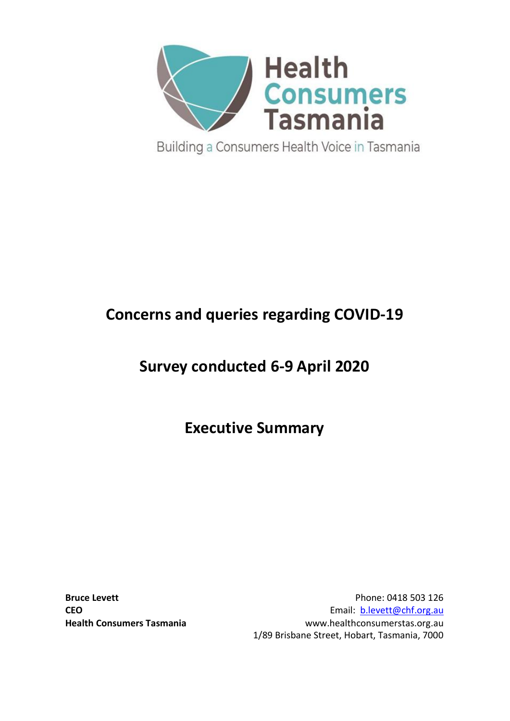

# **Concerns and queries regarding COVID-19**

# **Survey conducted 6-9 April 2020**

**Executive Summary**

**Bruce Levett Phone: 0418 503 126 CEO** Email: **[b.levett@chf.org.au](mailto:b.levett@chf.org.au) Health Consumers Tasmania** www.healthconsumerstas.org.au 1/89 Brisbane Street, Hobart, Tasmania, 7000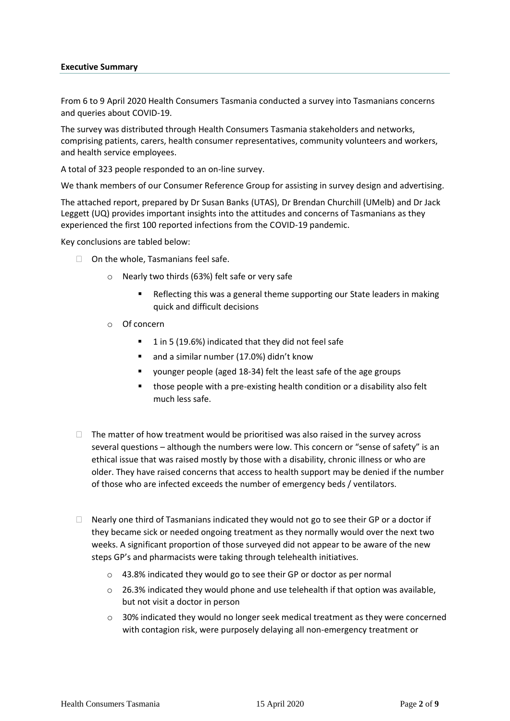#### **Executive Summary**

From 6 to 9 April 2020 Health Consumers Tasmania conducted a survey into Tasmanians concerns and queries about COVID-19.

The survey was distributed through Health Consumers Tasmania stakeholders and networks, comprising patients, carers, health consumer representatives, community volunteers and workers, and health service employees.

A total of 323 people responded to an on-line survey.

We thank members of our Consumer Reference Group for assisting in survey design and advertising.

The attached report, prepared by Dr Susan Banks (UTAS), Dr Brendan Churchill (UMelb) and Dr Jack Leggett (UQ) provides important insights into the attitudes and concerns of Tasmanians as they experienced the first 100 reported infections from the COVID-19 pandemic.

Key conclusions are tabled below:

- $\Box$  On the whole. Tasmanians feel safe.
	- o Nearly two thirds (63%) felt safe or very safe
		- Reflecting this was a general theme supporting our State leaders in making quick and difficult decisions
	- o Of concern
		- 1 in 5 (19.6%) indicated that they did not feel safe
		- and a similar number (17.0%) didn't know
		- younger people (aged 18-34) felt the least safe of the age groups
		- those people with a pre-existing health condition or a disability also felt much less safe.
- $\Box$  The matter of how treatment would be prioritised was also raised in the survey across several questions – although the numbers were low. This concern or "sense of safety" is an ethical issue that was raised mostly by those with a disability, chronic illness or who are older. They have raised concerns that access to health support may be denied if the number of those who are infected exceeds the number of emergency beds / ventilators.
- $\Box$  Nearly one third of Tasmanians indicated they would not go to see their GP or a doctor if they became sick or needed ongoing treatment as they normally would over the next two weeks. A significant proportion of those surveyed did not appear to be aware of the new steps GP's and pharmacists were taking through telehealth initiatives.
	- o 43.8% indicated they would go to see their GP or doctor as per normal
	- $\circ$  26.3% indicated they would phone and use telehealth if that option was available, but not visit a doctor in person
	- $\circ$  30% indicated they would no longer seek medical treatment as they were concerned with contagion risk, were purposely delaying all non-emergency treatment or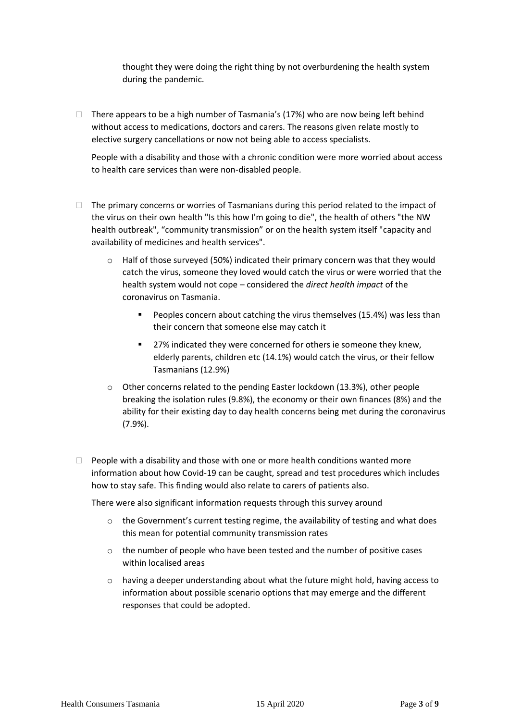thought they were doing the right thing by not overburdening the health system during the pandemic.

 $\Box$  There appears to be a high number of Tasmania's (17%) who are now being left behind without access to medications, doctors and carers. The reasons given relate mostly to elective surgery cancellations or now not being able to access specialists.

People with a disability and those with a chronic condition were more worried about access to health care services than were non-disabled people.

- $\Box$  The primary concerns or worries of Tasmanians during this period related to the impact of the virus on their own health "Is this how I'm going to die", the health of others "the NW health outbreak", "community transmission" or on the health system itself "capacity and availability of medicines and health services".
	- o Half of those surveyed (50%) indicated their primary concern was that they would catch the virus, someone they loved would catch the virus or were worried that the health system would not cope – considered the *direct health impact* of the coronavirus on Tasmania.
		- Peoples concern about catching the virus themselves (15.4%) was less than their concern that someone else may catch it
		- 27% indicated they were concerned for others ie someone they knew, elderly parents, children etc (14.1%) would catch the virus, or their fellow Tasmanians (12.9%)
	- $\circ$  Other concerns related to the pending Easter lockdown (13.3%), other people breaking the isolation rules (9.8%), the economy or their own finances (8%) and the ability for their existing day to day health concerns being met during the coronavirus (7.9%).
- $\Box$  People with a disability and those with one or more health conditions wanted more information about how Covid-19 can be caught, spread and test procedures which includes how to stay safe. This finding would also relate to carers of patients also.

There were also significant information requests through this survey around

- $\circ$  the Government's current testing regime, the availability of testing and what does this mean for potential community transmission rates
- o the number of people who have been tested and the number of positive cases within localised areas
- $\circ$  having a deeper understanding about what the future might hold, having access to information about possible scenario options that may emerge and the different responses that could be adopted.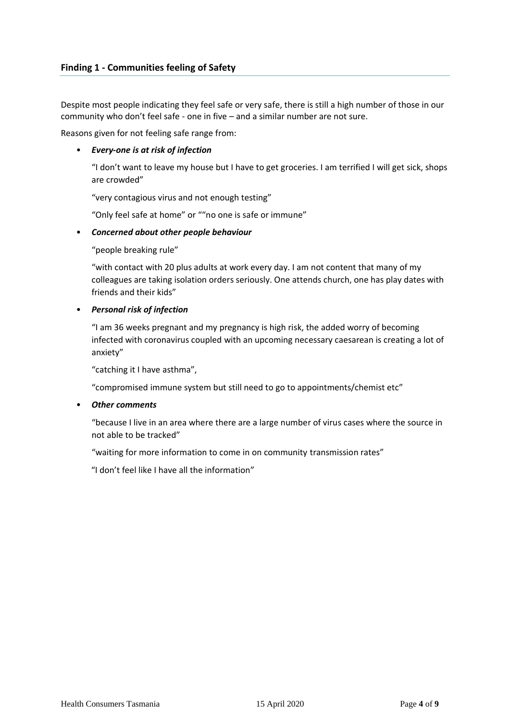Despite most people indicating they feel safe or very safe, there is still a high number of those in our community who don't feel safe - one in five – and a similar number are not sure.

Reasons given for not feeling safe range from:

## • *Every-one is at risk of infection*

"I don't want to leave my house but I have to get groceries. I am terrified I will get sick, shops are crowded"

"very contagious virus and not enough testing"

"Only feel safe at home" or ""no one is safe or immune"

## • *Concerned about other people behaviour*

"people breaking rule"

"with contact with 20 plus adults at work every day. I am not content that many of my colleagues are taking isolation orders seriously. One attends church, one has play dates with friends and their kids"

## • *Personal risk of infection*

"I am 36 weeks pregnant and my pregnancy is high risk, the added worry of becoming infected with coronavirus coupled with an upcoming necessary caesarean is creating a lot of anxiety"

"catching it I have asthma",

"compromised immune system but still need to go to appointments/chemist etc"

#### • *Other comments*

"because I live in an area where there are a large number of virus cases where the source in not able to be tracked"

"waiting for more information to come in on community transmission rates"

"I don't feel like I have all the information"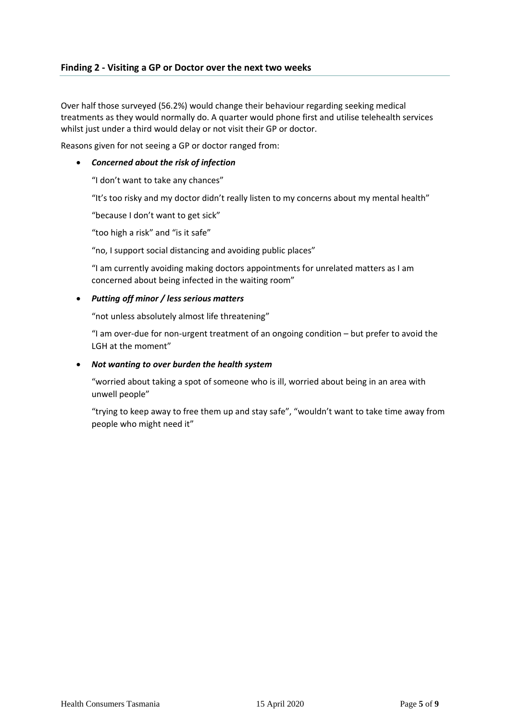## **Finding 2 - Visiting a GP or Doctor over the next two weeks**

Over half those surveyed (56.2%) would change their behaviour regarding seeking medical treatments as they would normally do. A quarter would phone first and utilise telehealth services whilst just under a third would delay or not visit their GP or doctor.

Reasons given for not seeing a GP or doctor ranged from:

#### • *Concerned about the risk of infection*

"I don't want to take any chances"

"It's too risky and my doctor didn't really listen to my concerns about my mental health"

"because I don't want to get sick"

"too high a risk" and "is it safe"

"no, I support social distancing and avoiding public places"

"I am currently avoiding making doctors appointments for unrelated matters as I am concerned about being infected in the waiting room"

#### • *Putting off minor / less serious matters*

"not unless absolutely almost life threatening"

"I am over-due for non-urgent treatment of an ongoing condition – but prefer to avoid the LGH at the moment"

#### • *Not wanting to over burden the health system*

"worried about taking a spot of someone who is ill, worried about being in an area with unwell people"

"trying to keep away to free them up and stay safe", "wouldn't want to take time away from people who might need it"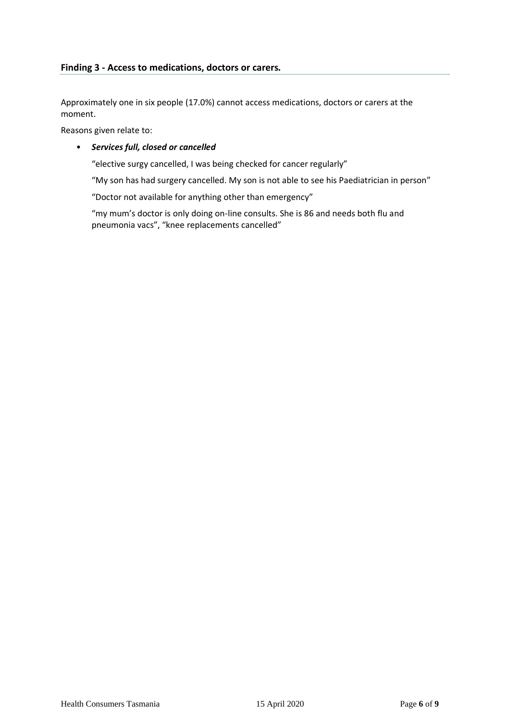## **Finding 3 - Access to medications, doctors or carers.**

Approximately one in six people (17.0%) cannot access medications, doctors or carers at the moment.

Reasons given relate to:

#### • *Services full, closed or cancelled*

"elective surgy cancelled, I was being checked for cancer regularly"

"My son has had surgery cancelled. My son is not able to see his Paediatrician in person"

"Doctor not available for anything other than emergency"

"my mum's doctor is only doing on-line consults. She is 86 and needs both flu and pneumonia vacs", "knee replacements cancelled"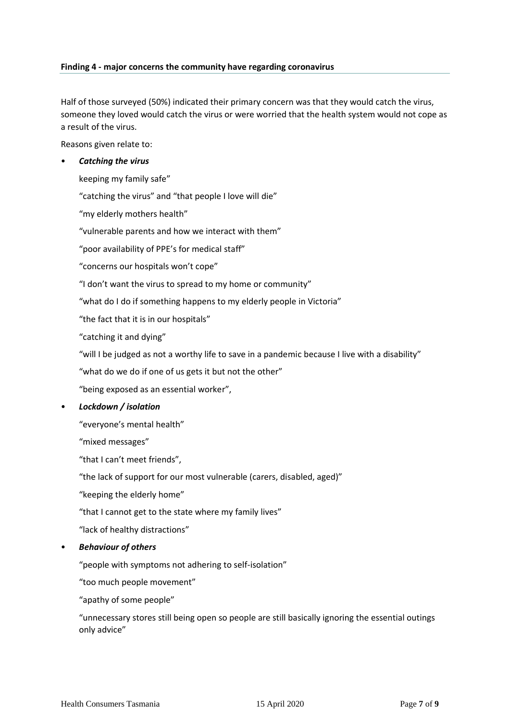### **Finding 4 - major concerns the community have regarding coronavirus**

Half of those surveyed (50%) indicated their primary concern was that they would catch the virus, someone they loved would catch the virus or were worried that the health system would not cope as a result of the virus.

Reasons given relate to:

#### • *Catching the virus*

keeping my family safe"

"catching the virus" and "that people I love will die"

"my elderly mothers health"

"vulnerable parents and how we interact with them"

"poor availability of PPE's for medical staff"

"concerns our hospitals won't cope"

"I don't want the virus to spread to my home or community"

"what do I do if something happens to my elderly people in Victoria"

"the fact that it is in our hospitals"

"catching it and dying"

"will I be judged as not a worthy life to save in a pandemic because I live with a disability"

"what do we do if one of us gets it but not the other"

"being exposed as an essential worker",

• *Lockdown / isolation*

"everyone's mental health"

"mixed messages"

"that I can't meet friends",

"the lack of support for our most vulnerable (carers, disabled, aged)"

"keeping the elderly home"

"that I cannot get to the state where my family lives"

"lack of healthy distractions"

• *Behaviour of others*

"people with symptoms not adhering to self-isolation"

"too much people movement"

"apathy of some people"

"unnecessary stores still being open so people are still basically ignoring the essential outings only advice"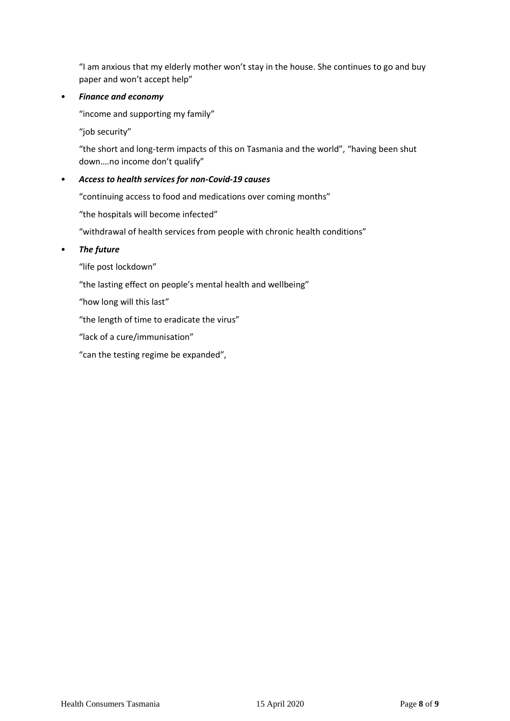"I am anxious that my elderly mother won't stay in the house. She continues to go and buy paper and won't accept help"

## • *Finance and economy*

"income and supporting my family"

"job security"

"the short and long-term impacts of this on Tasmania and the world", "having been shut down….no income don't qualify"

## • *Access to health services for non-Covid-19 causes*

"continuing access to food and medications over coming months"

"the hospitals will become infected"

"withdrawal of health services from people with chronic health conditions"

## • *The future*

"life post lockdown"

"the lasting effect on people's mental health and wellbeing"

"how long will this last"

"the length of time to eradicate the virus"

"lack of a cure/immunisation"

"can the testing regime be expanded",